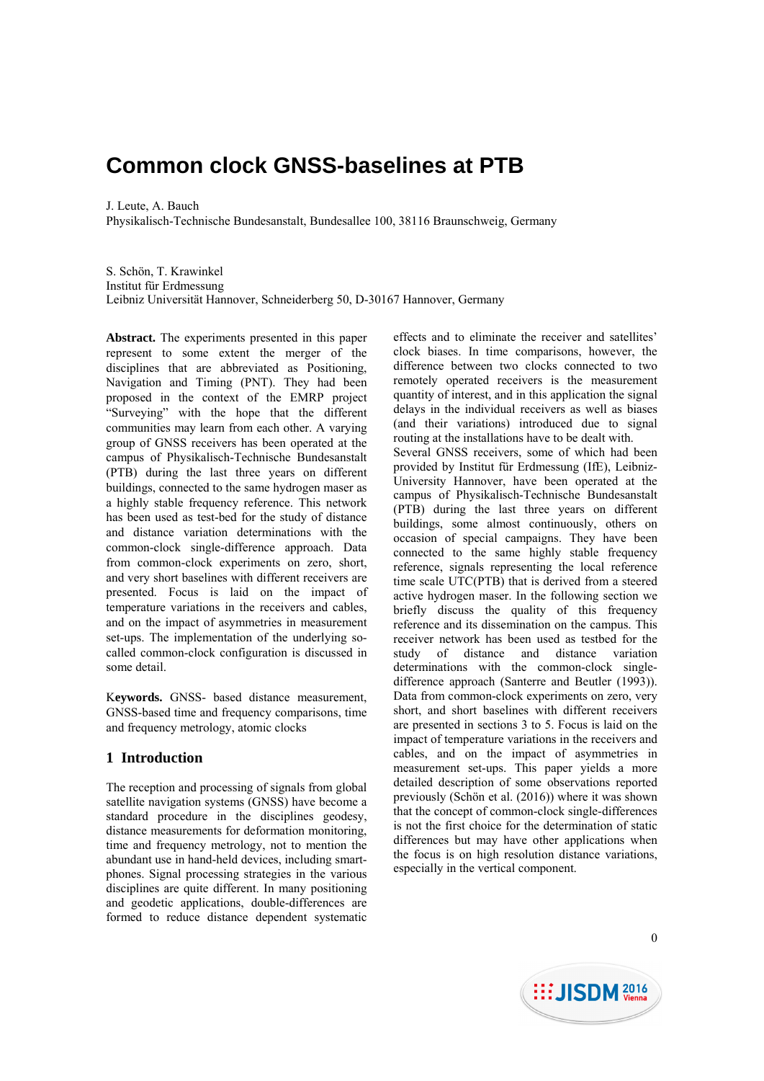# **Common clock GNSS-baselines at PTB**

J. Leute, A. Bauch

Physikalisch-Technische Bundesanstalt, Bundesallee 100, 38116 Braunschweig, Germany

S. Schön, T. Krawinkel Institut für Erdmessung Leibniz Universität Hannover, Schneiderberg 50, D-30167 Hannover, Germany

**Abstract.** The experiments presented in this paper represent to some extent the merger of the disciplines that are abbreviated as Positioning, Navigation and Timing (PNT). They had been proposed in the context of the EMRP project "Surveying" with the hope that the different communities may learn from each other. A varying group of GNSS receivers has been operated at the campus of Physikalisch-Technische Bundesanstalt (PTB) during the last three years on different buildings, connected to the same hydrogen maser as a highly stable frequency reference. This network has been used as test-bed for the study of distance and distance variation determinations with the common-clock single-difference approach. Data from common-clock experiments on zero, short, and very short baselines with different receivers are presented. Focus is laid on the impact of temperature variations in the receivers and cables, and on the impact of asymmetries in measurement set-ups. The implementation of the underlying socalled common-clock configuration is discussed in some detail.

K**eywords.** GNSS- based distance measurement, GNSS-based time and frequency comparisons, time and frequency metrology, atomic clocks

# **1 Introduction**

The reception and processing of signals from global satellite navigation systems (GNSS) have become a standard procedure in the disciplines geodesy, distance measurements for deformation monitoring, time and frequency metrology, not to mention the abundant use in hand-held devices, including smartphones. Signal processing strategies in the various disciplines are quite different. In many positioning and geodetic applications, double-differences are formed to reduce distance dependent systematic

effects and to eliminate the receiver and satellites' clock biases. In time comparisons, however, the difference between two clocks connected to two remotely operated receivers is the measurement quantity of interest, and in this application the signal delays in the individual receivers as well as biases (and their variations) introduced due to signal routing at the installations have to be dealt with. Several GNSS receivers, some of which had been provided by Institut für Erdmessung (IfE), Leibniz-University Hannover, have been operated at the campus of Physikalisch-Technische Bundesanstalt (PTB) during the last three years on different buildings, some almost continuously, others on occasion of special campaigns. They have been connected to the same highly stable frequency reference, signals representing the local reference time scale UTC(PTB) that is derived from a steered active hydrogen maser. In the following section we briefly discuss the quality of this frequency reference and its dissemination on the campus. This receiver network has been used as testbed for the study of distance and distance variation determinations with the common-clock singledifference approach (Santerre and Beutler (1993)). Data from common-clock experiments on zero, very short, and short baselines with different receivers are presented in sections 3 to 5. Focus is laid on the impact of temperature variations in the receivers and cables, and on the impact of asymmetries in measurement set-ups. This paper yields a more detailed description of some observations reported previously (Schön et al. (2016)) where it was shown that the concept of common-clock single-differences is not the first choice for the determination of static differences but may have other applications when the focus is on high resolution distance variations, especially in the vertical component.

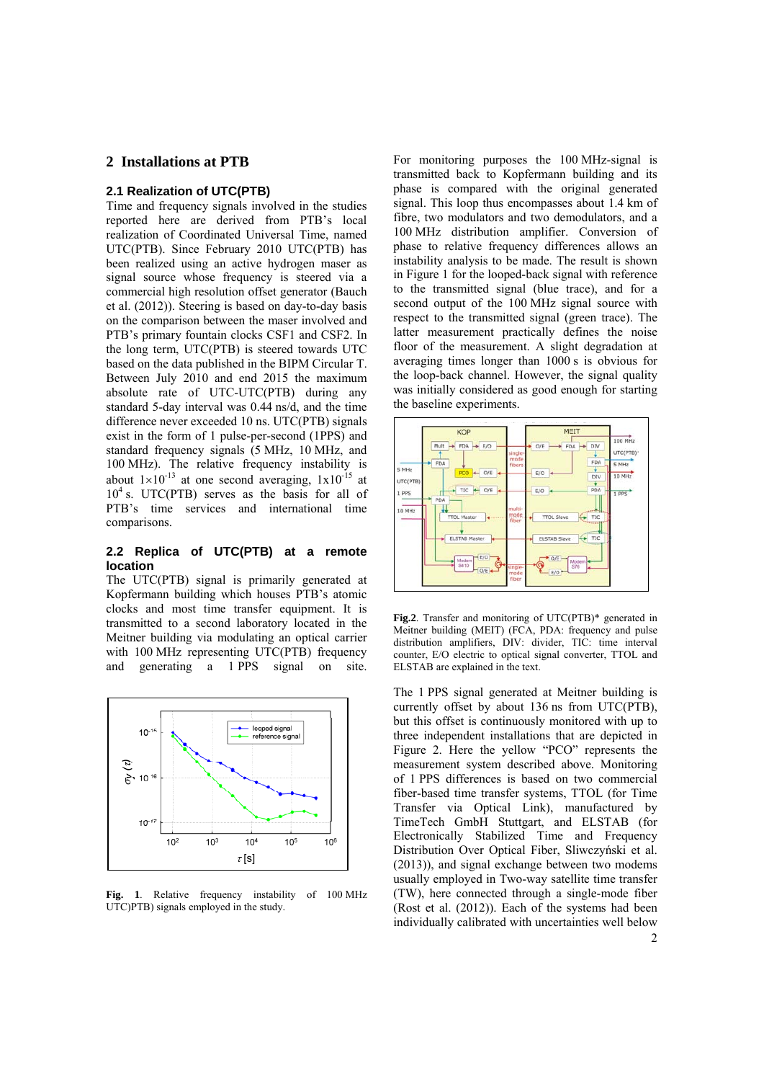## **2 Installations at PTB**

## **2.1 Realization of UTC(PTB)**

Time and frequency signals involved in the studies reported here are derived from PTB's local realization of Coordinated Universal Time, named UTC(PTB). Since February 2010 UTC(PTB) has been realized using an active hydrogen maser as signal source whose frequency is steered via a commercial high resolution offset generator (Bauch et al. (2012)). Steering is based on day-to-day basis on the comparison between the maser involved and PTB's primary fountain clocks CSF1 and CSF2. In the long term, UTC(PTB) is steered towards UTC based on the data published in the BIPM Circular T. Between July 2010 and end 2015 the maximum absolute rate of UTC-UTC(PTB) during any standard 5-day interval was 0.44 ns/d, and the time difference never exceeded 10 ns. UTC(PTB) signals exist in the form of 1 pulse-per-second (1PPS) and standard frequency signals (5 MHz, 10 MHz, and 100 MHz). The relative frequency instability is about  $1\times10^{-13}$  at one second averaging,  $1\times10^{-15}$  at  $10<sup>4</sup>$  s. UTC(PTB) serves as the basis for all of PTB's time services and international time comparisons.

## **2.2 Replica of UTC(PTB) at a remote location**

The UTC(PTB) signal is primarily generated at Kopfermann building which houses PTB's atomic clocks and most time transfer equipment. It is transmitted to a second laboratory located in the Meitner building via modulating an optical carrier with 100 MHz representing UTC(PTB) frequency and generating a 1 PPS signal on site.



**Fig. 1**. Relative frequency instability of 100 MHz UTC)PTB) signals employed in the study.

For monitoring purposes the 100 MHz-signal is transmitted back to Kopfermann building and its phase is compared with the original generated signal. This loop thus encompasses about 1.4 km of fibre, two modulators and two demodulators, and a 100 MHz distribution amplifier. Conversion of phase to relative frequency differences allows an instability analysis to be made. The result is shown in Figure 1 for the looped-back signal with reference to the transmitted signal (blue trace), and for a second output of the 100 MHz signal source with respect to the transmitted signal (green trace). The latter measurement practically defines the noise floor of the measurement. A slight degradation at averaging times longer than 1000 s is obvious for the loop-back channel. However, the signal quality was initially considered as good enough for starting the baseline experiments.



**Fig.2**. Transfer and monitoring of UTC(PTB)\* generated in Meitner building (MEIT) (FCA, PDA: frequency and pulse distribution amplifiers, DIV: divider, TIC: time interval counter, E/O electric to optical signal converter, TTOL and ELSTAB are explained in the text.

The 1 PPS signal generated at Meitner building is currently offset by about 136 ns from UTC(PTB), but this offset is continuously monitored with up to three independent installations that are depicted in Figure 2. Here the yellow "PCO" represents the measurement system described above. Monitoring of 1 PPS differences is based on two commercial fiber-based time transfer systems, TTOL (for Time Transfer via Optical Link), manufactured by TimeTech GmbH Stuttgart, and ELSTAB (for Electronically Stabilized Time and Frequency Distribution Over Optical Fiber, Sliwczyński et al. (2013)), and signal exchange between two modems usually employed in Two-way satellite time transfer (TW), here connected through a single-mode fiber (Rost et al. (2012)). Each of the systems had been individually calibrated with uncertainties well below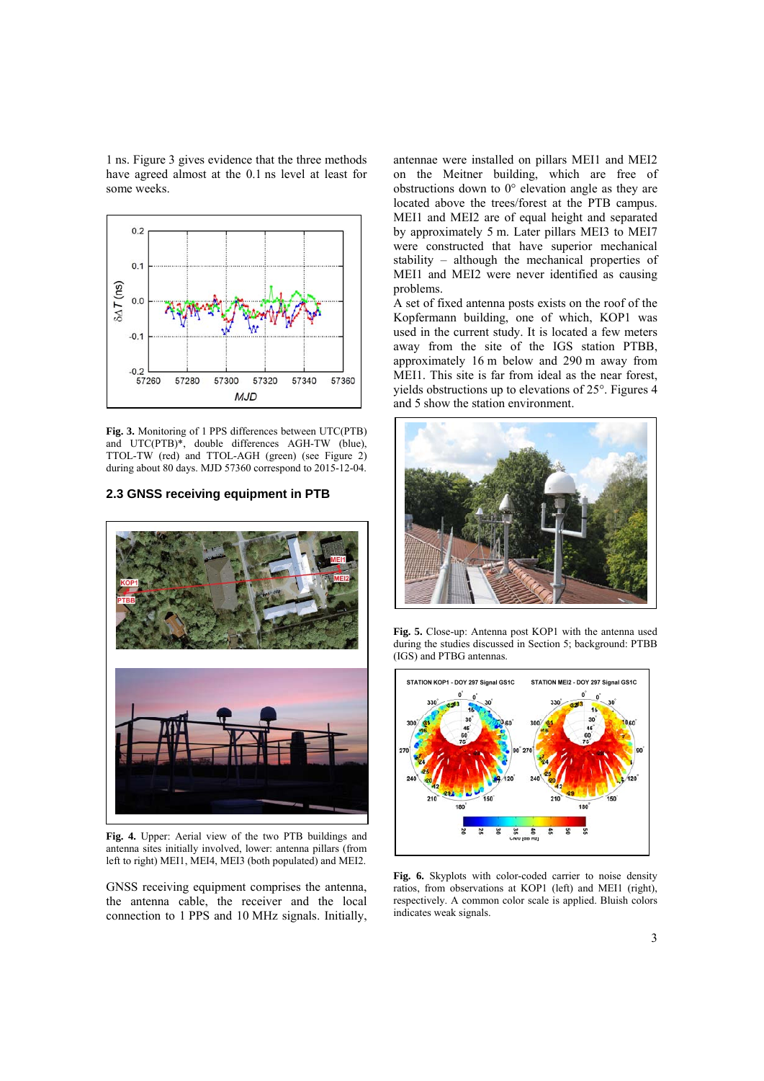1 ns. Figure 3 gives evidence that the three methods have agreed almost at the 0.1 ns level at least for some weeks.



**Fig. 3.** Monitoring of 1 PPS differences between UTC(PTB) and UTC(PTB)\*, double differences AGH-TW (blue), TTOL-TW (red) and TTOL-AGH (green) (see Figure 2) during about 80 days. MJD 57360 correspond to 2015-12-04.

#### **2.3 GNSS receiving equipment in PTB**



**Fig. 4.** Upper: Aerial view of the two PTB buildings and antenna sites initially involved, lower: antenna pillars (from left to right) MEI1, MEI4, MEI3 (both populated) and MEI2.

GNSS receiving equipment comprises the antenna, the antenna cable, the receiver and the local connection to 1 PPS and 10 MHz signals. Initially,

antennae were installed on pillars MEI1 and MEI2 on the Meitner building, which are free of obstructions down to 0° elevation angle as they are located above the trees/forest at the PTB campus. MEI1 and MEI2 are of equal height and separated by approximately 5 m. Later pillars MEI3 to MEI7 were constructed that have superior mechanical stability – although the mechanical properties of MEI1 and MEI2 were never identified as causing problems.

A set of fixed antenna posts exists on the roof of the Kopfermann building, one of which, KOP1 was used in the current study. It is located a few meters away from the site of the IGS station PTBB, approximately 16 m below and 290 m away from MEI1. This site is far from ideal as the near forest, yields obstructions up to elevations of 25°. Figures 4 and 5 show the station environment.



**Fig. 5.** Close-up: Antenna post KOP1 with the antenna used during the studies discussed in Section 5; background: PTBB (IGS) and PTBG antennas.



**Fig. 6.** Skyplots with color-coded carrier to noise density ratios, from observations at KOP1 (left) and MEI1 (right), respectively. A common color scale is applied. Bluish colors indicates weak signals.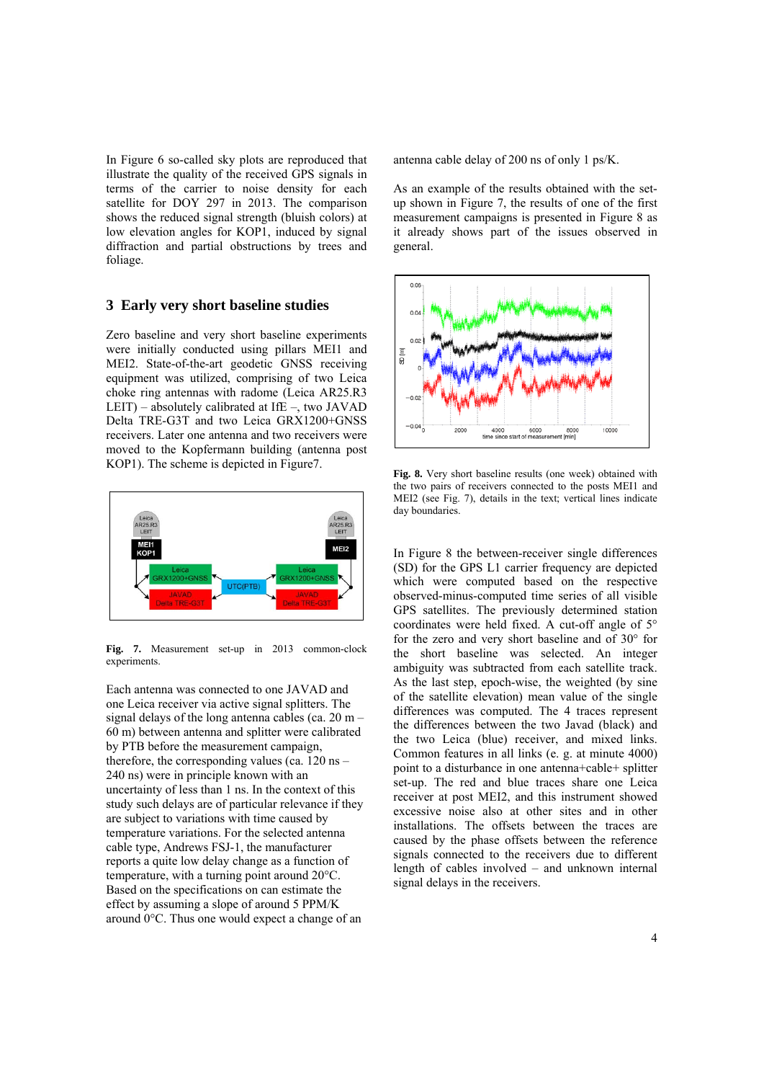In Figure 6 so-called sky plots are reproduced that illustrate the quality of the received GPS signals in terms of the carrier to noise density for each satellite for DOY 297 in 2013. The comparison shows the reduced signal strength (bluish colors) at low elevation angles for KOP1, induced by signal diffraction and partial obstructions by trees and foliage.

## **3 Early very short baseline studies**

Zero baseline and very short baseline experiments were initially conducted using pillars MEI1 and MEI2. State-of-the-art geodetic GNSS receiving equipment was utilized, comprising of two Leica choke ring antennas with radome (Leica AR25.R3 LEIT) – absolutely calibrated at IfE –, two JAVAD Delta TRE-G3T and two Leica GRX1200+GNSS receivers. Later one antenna and two receivers were moved to the Kopfermann building (antenna post KOP1). The scheme is depicted in Figure7.



**Fig. 7.** Measurement set-up in 2013 common-clock experiments.

Each antenna was connected to one JAVAD and one Leica receiver via active signal splitters. The signal delays of the long antenna cables (ca. 20 m – 60 m) between antenna and splitter were calibrated by PTB before the measurement campaign, therefore, the corresponding values (ca. 120 ns – 240 ns) were in principle known with an uncertainty of less than 1 ns. In the context of this study such delays are of particular relevance if they are subject to variations with time caused by temperature variations. For the selected antenna cable type, Andrews FSJ-1, the manufacturer reports a quite low delay change as a function of temperature, with a turning point around 20°C. Based on the specifications on can estimate the effect by assuming a slope of around 5 PPM/K around 0°C. Thus one would expect a change of an

antenna cable delay of 200 ns of only 1 ps/K.

As an example of the results obtained with the setup shown in Figure 7, the results of one of the first measurement campaigns is presented in Figure 8 as it already shows part of the issues observed in general.



**Fig. 8.** Very short baseline results (one week) obtained with the two pairs of receivers connected to the posts MEI1 and MEI2 (see Fig. 7), details in the text; vertical lines indicate day boundaries.

In Figure 8 the between-receiver single differences (SD) for the GPS L1 carrier frequency are depicted which were computed based on the respective observed-minus-computed time series of all visible GPS satellites. The previously determined station coordinates were held fixed. A cut-off angle of 5° for the zero and very short baseline and of 30° for the short baseline was selected. An integer ambiguity was subtracted from each satellite track. As the last step, epoch-wise, the weighted (by sine of the satellite elevation) mean value of the single differences was computed. The 4 traces represent the differences between the two Javad (black) and the two Leica (blue) receiver, and mixed links. Common features in all links (e. g. at minute 4000) point to a disturbance in one antenna+cable+ splitter set-up. The red and blue traces share one Leica receiver at post MEI2, and this instrument showed excessive noise also at other sites and in other installations. The offsets between the traces are caused by the phase offsets between the reference signals connected to the receivers due to different length of cables involved – and unknown internal signal delays in the receivers.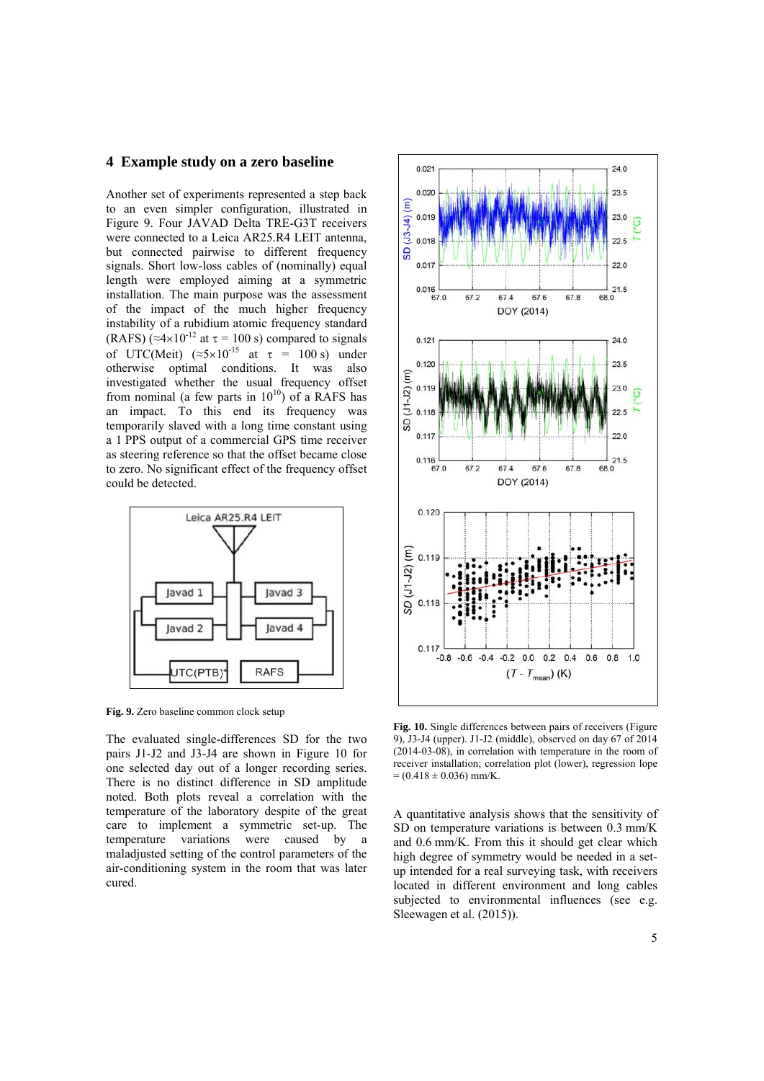#### **4 Example study on a zero baseline**

Another set of experiments represented a step back to an even simpler configuration, illustrated in Figure 9. Four JAVAD Delta TRE-G3T receivers were connected to a Leica AR25.R4 LEIT antenna, but connected pairwise to different frequency signals. Short low-loss cables of (nominally) equal length were employed aiming at a symmetric installation. The main purpose was the assessment of the impact of the much higher frequency instability of a rubidium atomic frequency standard (RAFS) ( $\approx$ 4×10<sup>-12</sup> at  $\tau$  = 100 s) compared to signals of UTC(Meit) ( $\approx$ 5×10<sup>-15</sup> at  $\tau$  = 100 s) under otherwise optimal conditions. It was also investigated whether the usual frequency offset from nominal (a few parts in  $10^{10}$ ) of a RAFS has an impact. To this end its frequency was temporarily slaved with a long time constant using a 1 PPS output of a commercial GPS time receiver as steering reference so that the offset became close to zero. No significant effect of the frequency offset could be detected.



**Fig. 9.** Zero baseline common clock setup

The evaluated single-differences SD for the two pairs J1-J2 and J3-J4 are shown in Figure 10 for one selected day out of a longer recording series. There is no distinct difference in SD amplitude noted. Both plots reveal a correlation with the temperature of the laboratory despite of the great care to implement a symmetric set-up. The temperature variations were caused by a maladjusted setting of the control parameters of the air-conditioning system in the room that was later cured.



**Fig. 10.** Single differences between pairs of receivers (Figure 9), J3-J4 (upper). J1-J2 (middle), observed on day 67 of 2014 (2014-03-08), in correlation with temperature in the room of receiver installation; correlation plot (lower), regression lope  $= (0.418 \pm 0.036)$  mm/K.

A quantitative analysis shows that the sensitivity of SD on temperature variations is between 0.3 mm/K and 0.6 mm/K. From this it should get clear which high degree of symmetry would be needed in a setup intended for a real surveying task, with receivers located in different environment and long cables subjected to environmental influences (see e.g. Sleewagen et al. (2015)).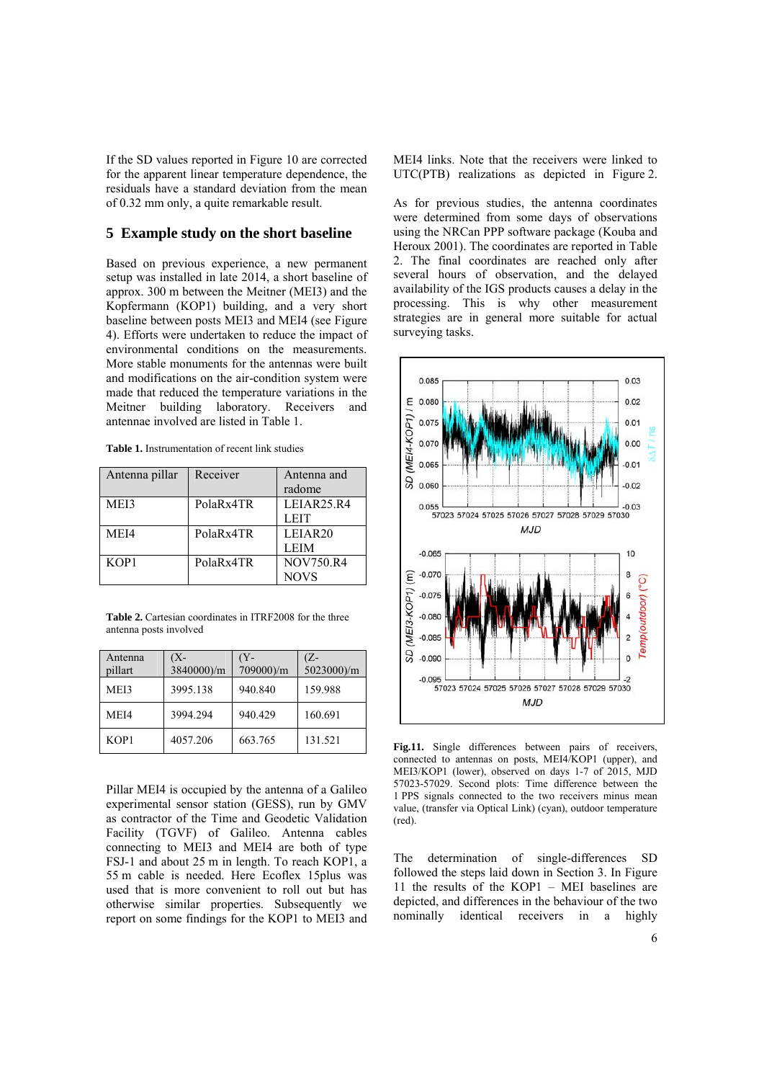If the SD values reported in Figure 10 are corrected for the apparent linear temperature dependence, the residuals have a standard deviation from the mean of 0.32 mm only, a quite remarkable result.

## **5 Example study on the short baseline**

Based on previous experience, a new permanent setup was installed in late 2014, a short baseline of approx. 300 m between the Meitner (MEI3) and the Kopfermann (KOP1) building, and a very short baseline between posts MEI3 and MEI4 (see Figure 4). Efforts were undertaken to reduce the impact of environmental conditions on the measurements. More stable monuments for the antennas were built and modifications on the air-condition system were made that reduced the temperature variations in the Meitner building laboratory. Receivers and antennae involved are listed in Table 1.

**Table 1.** Instrumentation of recent link studies

| Antenna pillar | Receiver  | Antenna and         |  |
|----------------|-----------|---------------------|--|
|                |           | radome              |  |
| MEI3           | PolaRx4TR | LEIAR25.R4          |  |
|                |           | <b>LEIT</b>         |  |
| MEI4           | PolaRx4TR | LEIAR <sub>20</sub> |  |
|                |           | <b>LEIM</b>         |  |
| KOP1           | PolaRx4TR | <b>NOV750.R4</b>    |  |
|                |           | <b>NOVS</b>         |  |

**Table 2.** Cartesian coordinates in ITRF2008 for the three antenna posts involved

| Antenna<br>pillart | 'X-<br>3840000)/m | Y-<br>709000)/m | Z-<br>5023000)/m |
|--------------------|-------------------|-----------------|------------------|
| MEI3               | 3995.138          | 940.840         | 159.988          |
| MEI4               | 3994.294          | 940.429         | 160.691          |
| KOP1               | 4057.206          | 663.765         | 131.521          |

Pillar MEI4 is occupied by the antenna of a Galileo experimental sensor station (GESS), run by GMV as contractor of the Time and Geodetic Validation Facility (TGVF) of Galileo. Antenna cables connecting to MEI3 and MEI4 are both of type FSJ-1 and about 25 m in length. To reach KOP1, a 55 m cable is needed. Here Ecoflex 15plus was used that is more convenient to roll out but has otherwise similar properties. Subsequently we report on some findings for the KOP1 to MEI3 and

MEI4 links. Note that the receivers were linked to UTC(PTB) realizations as depicted in Figure 2.

As for previous studies, the antenna coordinates were determined from some days of observations using the NRCan PPP software package (Kouba and Heroux 2001). The coordinates are reported in Table 2. The final coordinates are reached only after several hours of observation, and the delayed availability of the IGS products causes a delay in the processing. This is why other measurement strategies are in general more suitable for actual surveying tasks.



Fig.11. Single differences between pairs of receivers, connected to antennas on posts, MEI4/KOP1 (upper), and MEI3/KOP1 (lower), observed on days 1-7 of 2015, MJD 57023-57029. Second plots: Time difference between the 1 PPS signals connected to the two receivers minus mean value, (transfer via Optical Link) (cyan), outdoor temperature (red).

The determination of single-differences SD followed the steps laid down in Section 3. In Figure 11 the results of the KOP1 – MEI baselines are depicted, and differences in the behaviour of the two nominally identical receivers in a highly